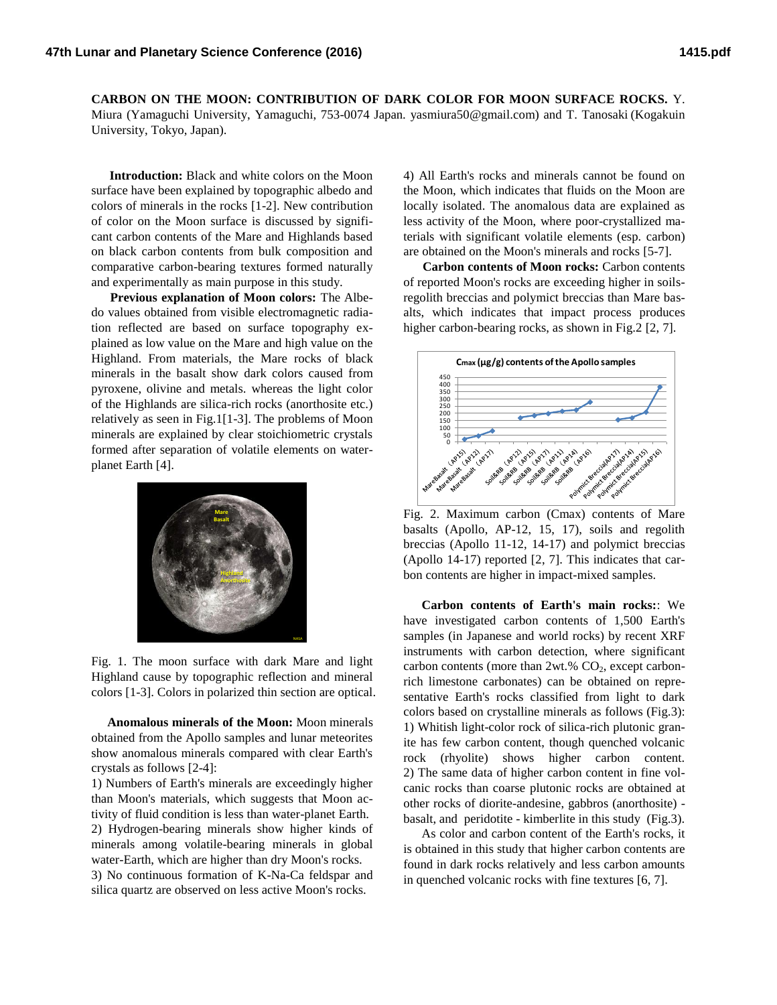**CARBON ON THE MOON: CONTRIBUTION OF DARK COLOR FOR MOON SURFACE ROCKS.** Y. Miura (Yamaguchi University, Yamaguchi, 753-0074 Japan. yasmiura50@gmail.com) and T. Tanosaki (Kogakuin University, Tokyo, Japan).

**Introduction:** Black and white colors on the Moon surface have been explained by topographic albedo and colors of minerals in the rocks [1-2]. New contribution of color on the Moon surface is discussed by significant carbon contents of the Mare and Highlands based on black carbon contents from bulk composition and comparative carbon-bearing textures formed naturally and experimentally as main purpose in this study.

**Previous explanation of Moon colors:** The Albedo values obtained from visible electromagnetic radiation reflected are based on surface topography explained as low value on the Mare and high value on the Highland. From materials, the Mare rocks of black minerals in the basalt show dark colors caused from pyroxene, olivine and metals. whereas the light color of the Highlands are silica-rich rocks (anorthosite etc.) relatively as seen in Fig.1[1-3]. The problems of Moon minerals are explained by clear stoichiometric crystals formed after separation of volatile elements on waterplanet Earth [4].



Fig. 1. The moon surface with dark Mare and light Highland cause by topographic reflection and mineral colors [1-3]. Colors in polarized thin section are optical.

 **Anomalous minerals of the Moon:** Moon minerals obtained from the Apollo samples and lunar meteorites show anomalous minerals compared with clear Earth's crystals as follows [2-4]:

1) Numbers of Earth's minerals are exceedingly higher than Moon's materials, which suggests that Moon activity of fluid condition is less than water-planet Earth. 2) Hydrogen-bearing minerals show higher kinds of minerals among volatile-bearing minerals in global water-Earth, which are higher than dry Moon's rocks. 3) No continuous formation of K-Na-Ca feldspar and silica quartz are observed on less active Moon's rocks.

4) All Earth's rocks and minerals cannot be found on the Moon, which indicates that fluids on the Moon are locally isolated. The anomalous data are explained as less activity of the Moon, where poor-crystallized materials with significant volatile elements (esp. carbon) are obtained on the Moon's minerals and rocks [5-7].

 **Carbon contents of Moon rocks:** Carbon contents of reported Moon's rocks are exceeding higher in soilsregolith breccias and polymict breccias than Mare basalts, which indicates that impact process produces higher carbon-bearing rocks, as shown in Fig. 2 [2, 7].



Fig. 2. Maximum carbon (Cmax) contents of Mare basalts (Apollo, AP-12, 15, 17), soils and regolith breccias (Apollo 11-12, 14-17) and polymict breccias (Apollo 14-17) reported [2, 7]. This indicates that carbon contents are higher in impact-mixed samples.

**Carbon contents of Earth's main rocks:**: We have investigated carbon contents of 1,500 Earth's samples (in Japanese and world rocks) by recent XRF instruments with carbon detection, where significant carbon contents (more than  $2wt$ .%  $CO<sub>2</sub>$ , except carbonrich limestone carbonates) can be obtained on representative Earth's rocks classified from light to dark colors based on crystalline minerals as follows (Fig.3): 1) Whitish light-color rock of silica-rich plutonic granite has few carbon content, though quenched volcanic rock (rhyolite) shows higher carbon content. 2) The same data of higher carbon content in fine volcanic rocks than coarse plutonic rocks are obtained at other rocks of diorite-andesine, gabbros (anorthosite) basalt, and peridotite - kimberlite in this study (Fig.3).

As color and carbon content of the Earth's rocks, it is obtained in this study that higher carbon contents are found in dark rocks relatively and less carbon amounts in quenched volcanic rocks with fine textures [6, 7].